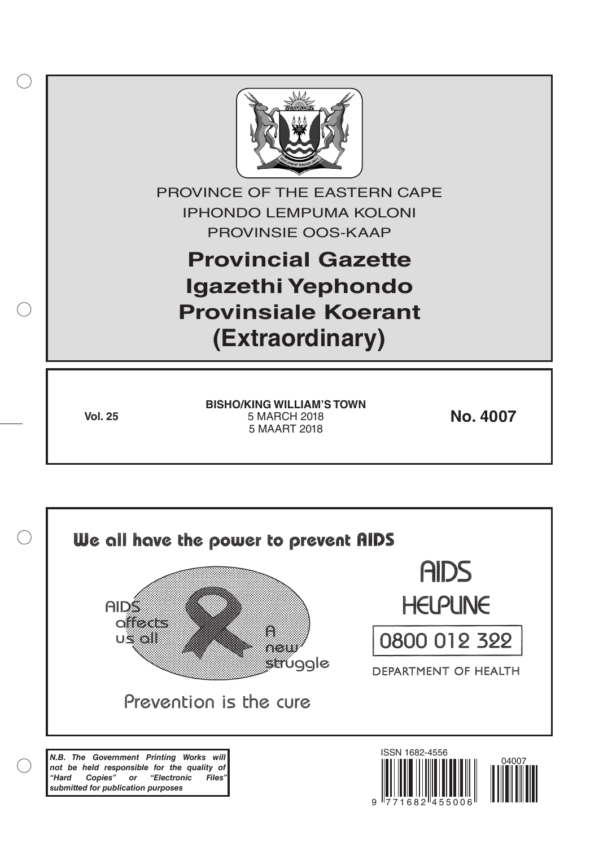

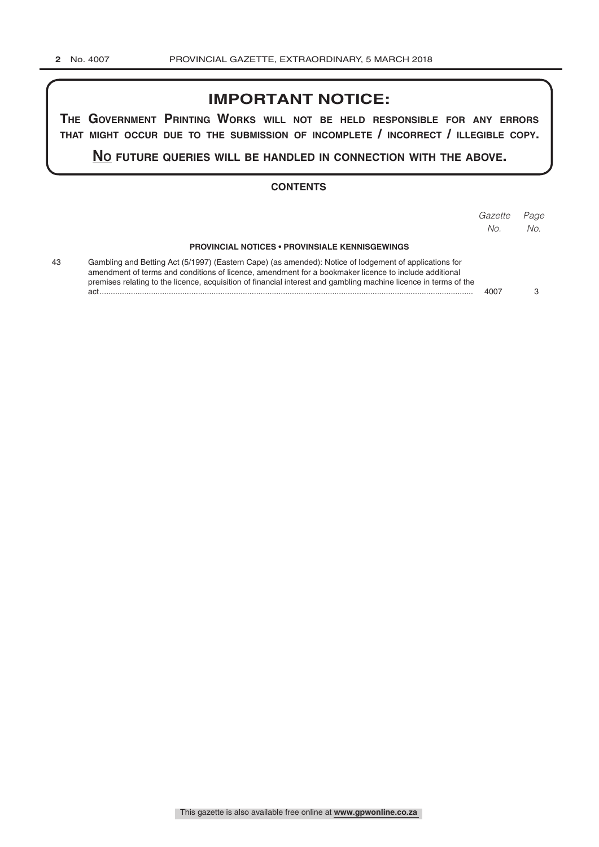# **IMPORTANT NOTICE:**

**The GovernmenT PrinTinG Works Will noT be held resPonsible for any errors ThaT miGhT occur due To The submission of incomPleTe / incorrecT / illeGible coPy.**

**no fuTure queries Will be handled in connecTion WiTh The above.**

#### **CONTENTS**

|    |                                                                                                                                                                                                                                                                                                                                     | Gazette<br>No. | Page<br>No. |
|----|-------------------------------------------------------------------------------------------------------------------------------------------------------------------------------------------------------------------------------------------------------------------------------------------------------------------------------------|----------------|-------------|
|    | <b>PROVINCIAL NOTICES • PROVINSIALE KENNISGEWINGS</b>                                                                                                                                                                                                                                                                               |                |             |
| 43 | Gambling and Betting Act (5/1997) (Eastern Cape) (as amended): Notice of lodgement of applications for<br>amendment of terms and conditions of licence, amendment for a bookmaker licence to include additional<br>premises relating to the licence, acquisition of financial interest and gambling machine licence in terms of the |                |             |
|    |                                                                                                                                                                                                                                                                                                                                     | 4007           |             |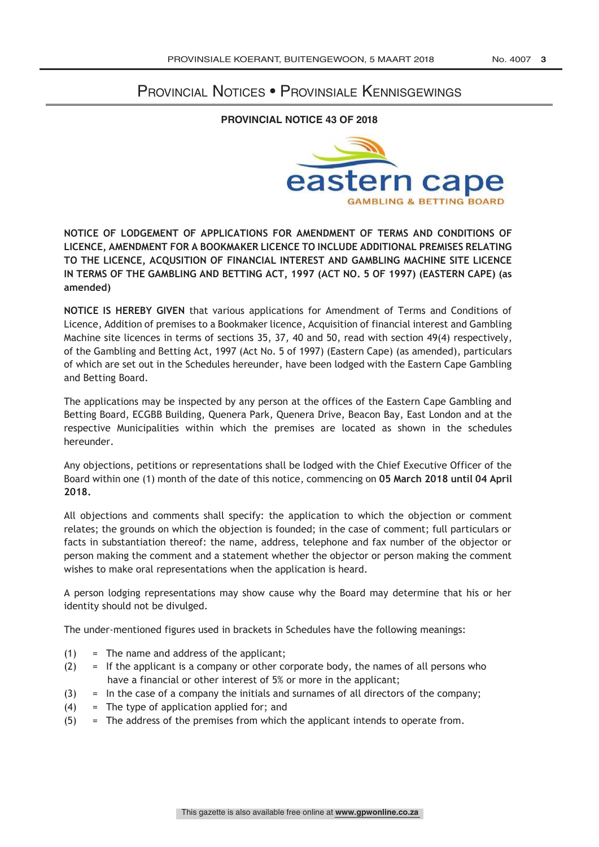## Provincial Notices • Provinsiale Kennisgewings

## **PROVINCIAL NOTICE 43 OF 2018**



**NOTICE OF LODGEMENT OF APPLICATIONS FOR AMENDMENT OF TERMS AND CONDITIONS OF LICENCE, AMENDMENT FOR A BOOKMAKER LICENCE TO INCLUDE ADDITIONAL PREMISES RELATING TO THE LICENCE, ACQUSITION OF FINANCIAL INTEREST AND GAMBLING MACHINE SITE LICENCE IN TERMS OF THE GAMBLING AND BETTING ACT, 1997 (ACT NO. 5 OF 1997) (EASTERN CAPE) (as amended)** 

**NOTICE IS HEREBY GIVEN** that various applications for Amendment of Terms and Conditions of Licence, Addition of premises to a Bookmaker licence, Acquisition of financial interest and Gambling Machine site licences in terms of sections 35, 37, 40 and 50, read with section 49(4) respectively, of the Gambling and Betting Act, 1997 (Act No. 5 of 1997) (Eastern Cape) (as amended), particulars of which are set out in the Schedules hereunder, have been lodged with the Eastern Cape Gambling and Betting Board.

The applications may be inspected by any person at the offices of the Eastern Cape Gambling and Betting Board, ECGBB Building, Quenera Park, Quenera Drive, Beacon Bay, East London and at the respective Municipalities within which the premises are located as shown in the schedules hereunder.

Any objections, petitions or representations shall be lodged with the Chief Executive Officer of the Board within one (1) month of the date of this notice, commencing on **05 March 2018 until 04 April 2018.**

All objections and comments shall specify: the application to which the objection or comment relates; the grounds on which the objection is founded; in the case of comment; full particulars or facts in substantiation thereof: the name, address, telephone and fax number of the objector or person making the comment and a statement whether the objector or person making the comment wishes to make oral representations when the application is heard.

A person lodging representations may show cause why the Board may determine that his or her identity should not be divulged.

The under-mentioned figures used in brackets in Schedules have the following meanings:

- (1) = The name and address of the applicant;
- $(2)$  = If the applicant is a company or other corporate body, the names of all persons who have a financial or other interest of 5% or more in the applicant:
- (3) = In the case of a company the initials and surnames of all directors of the company;
- (4) = The type of application applied for; and
- (5) = The address of the premises from which the applicant intends to operate from.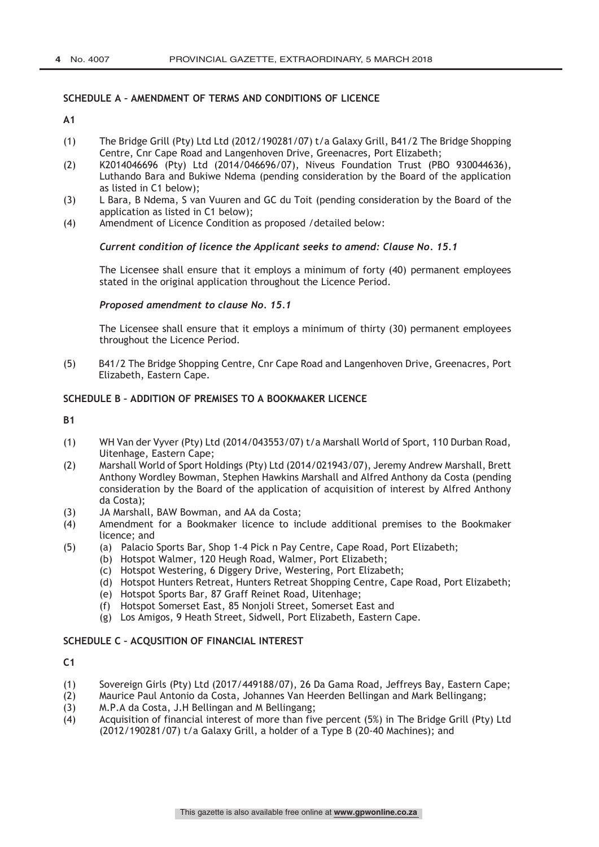## **SCHEDULE A – AMENDMENT OF TERMS AND CONDITIONS OF LICENCE**

#### **A1**

- (1) The Bridge Grill (Pty) Ltd Ltd (2012/190281/07) t/a Galaxy Grill, B41/2 The Bridge Shopping Centre, Cnr Cape Road and Langenhoven Drive, Greenacres, Port Elizabeth;
- (2) K2014046696 (Pty) Ltd (2014/046696/07), Niveus Foundation Trust (PBO 930044636), Luthando Bara and Bukiwe Ndema (pending consideration by the Board of the application as listed in C1 below);
- (3) L Bara, B Ndema, S van Vuuren and GC du Toit (pending consideration by the Board of the application as listed in C1 below);
- (4) Amendment of Licence Condition as proposed /detailed below:

#### *Current condition of licence the Applicant seeks to amend: Clause No. 15.1*

The Licensee shall ensure that it employs a minimum of forty (40) permanent employees stated in the original application throughout the Licence Period.

#### *Proposed amendment to clause No. 15.1*

The Licensee shall ensure that it employs a minimum of thirty (30) permanent employees throughout the Licence Period.

(5) B41/2 The Bridge Shopping Centre, Cnr Cape Road and Langenhoven Drive, Greenacres, Port Elizabeth, Eastern Cape.

### **SCHEDULE B – ADDITION OF PREMISES TO A BOOKMAKER LICENCE**

**B1**

- (1) WH Van der Vyver (Pty) Ltd (2014/043553/07) t/a Marshall World of Sport, 110 Durban Road, Uitenhage, Eastern Cape;
- (2) Marshall World of Sport Holdings (Pty) Ltd (2014/021943/07), Jeremy Andrew Marshall, Brett Anthony Wordley Bowman, Stephen Hawkins Marshall and Alfred Anthony da Costa (pending consideration by the Board of the application of acquisition of interest by Alfred Anthony da Costa);
- (3) JA Marshall, BAW Bowman, and AA da Costa;
- (4) Amendment for a Bookmaker licence to include additional premises to the Bookmaker licence; and
- (5) (a) Palacio Sports Bar, Shop 1-4 Pick n Pay Centre, Cape Road, Port Elizabeth;
	- (b) Hotspot Walmer, 120 Heugh Road, Walmer, Port Elizabeth;
		- (c) Hotspot Westering, 6 Diggery Drive, Westering, Port Elizabeth;
		- (d) Hotspot Hunters Retreat, Hunters Retreat Shopping Centre, Cape Road, Port Elizabeth;
		- (e) Hotspot Sports Bar, 87 Graff Reinet Road, Uitenhage;
		- (f) Hotspot Somerset East, 85 Nonjoli Street, Somerset East and
		- (g) Los Amigos, 9 Heath Street, Sidwell, Port Elizabeth, Eastern Cape.

## **SCHEDULE C – ACQUSITION OF FINANCIAL INTEREST**

## **C1**

- (1) Sovereign Girls (Pty) Ltd (2017/449188/07), 26 Da Gama Road, Jeffreys Bay, Eastern Cape;
- (2) Maurice Paul Antonio da Costa, Johannes Van Heerden Bellingan and Mark Bellingang;
- (3) M.P.A da Costa, J.H Bellingan and M Bellingang;
- (4) Acquisition of financial interest of more than five percent (5%) in The Bridge Grill (Pty) Ltd (2012/190281/07) t/a Galaxy Grill, a holder of a Type B (20-40 Machines); and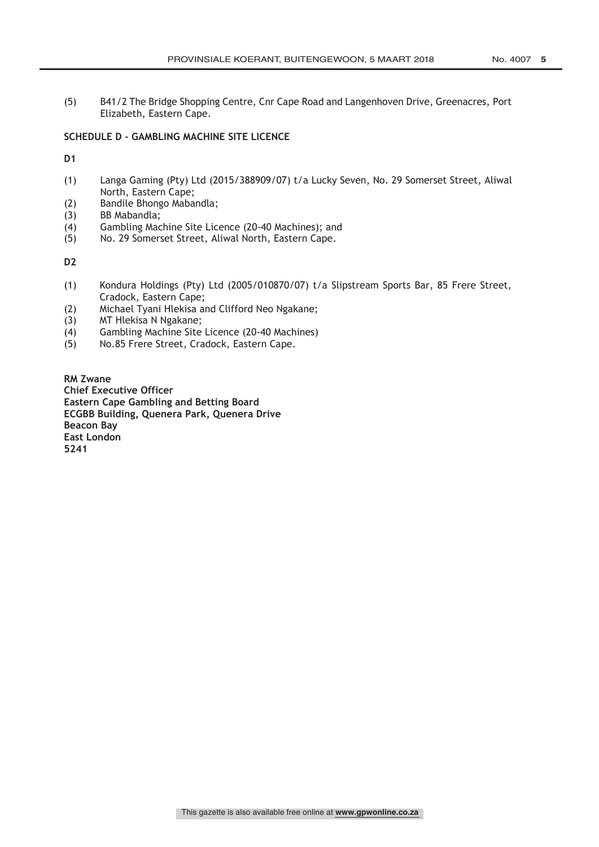(5) B41/2 The Bridge Shopping Centre, Cnr Cape Road and Langenhoven Drive, Greenacres, Port Elizabeth, Eastern Cape.

## **SCHEDULE D – GAMBLING MACHINE SITE LICENCE**

**D1**

- (1) Langa Gaming (Pty) Ltd (2015/388909/07) t/a Lucky Seven, No. 29 Somerset Street, Aliwal North, Eastern Cape;
- (2) Bandile Bhongo Mabandla;<br>(3) BB Mabandla;
- BB Mabandla;
- (4) Gambling Machine Site Licence (20-40 Machines); and
- (5) No. 29 Somerset Street, Aliwal North, Eastern Cape.

**D2**

- (1) Kondura Holdings (Pty) Ltd (2005/010870/07) t/a Slipstream Sports Bar, 85 Frere Street, Cradock, Eastern Cape;
- (2) Michael Tyani Hlekisa and Clifford Neo Ngakane;
- (3) MT Hlekisa N Ngakane;
- (4) Gambling Machine Site Licence (20-40 Machines)
- (5) No.85 Frere Street, Cradock, Eastern Cape.

**RM Zwane Chief Executive Officer Eastern Cape Gambling and Betting Board ECGBB Building, Quenera Park, Quenera Drive Beacon Bay East London 5241**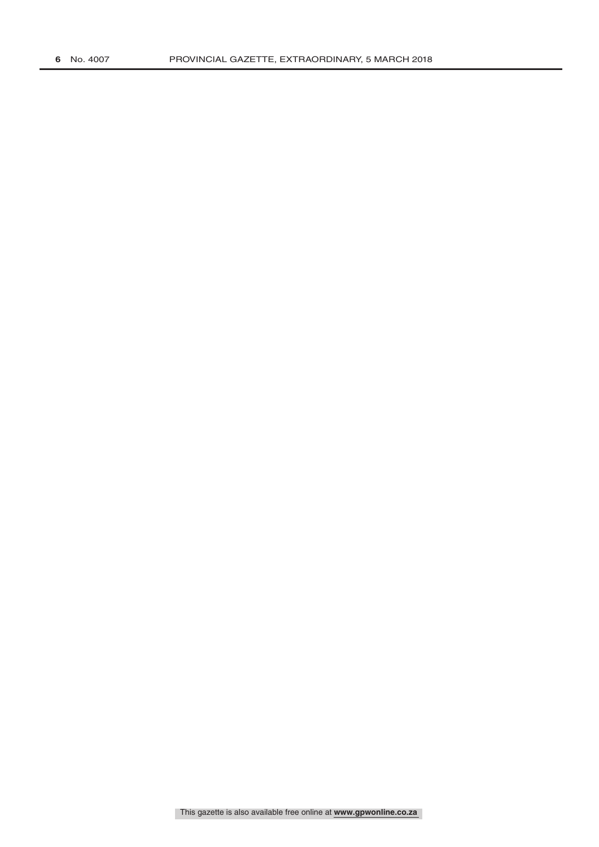This gazette is also available free online at **www.gpwonline.co.za**